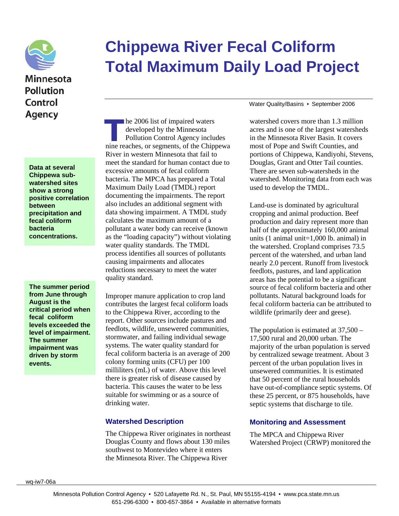

# Minnesota **Pollution** Control Agency

**Data at several Chippewa subwatershed sites show a strong positive correlation between precipitation and fecal coliform bacteria concentrations.**

**The summer period from June through August is the critical period when fecal coliform levels exceeded the level of impairment. The summer impairment was driven by storm events.**

# **Chippewa River Fecal Coliform Total Maximum Daily Load Project**

he 2006 list of impaired waters<br>developed by the Minnesota<br>Pollution Control Agency includes<br>nine reaches, or segments, of the Chippewa he 2006 list of impaired waters developed by the Minnesota Pollution Control Agency includes River in western Minnesota that fail to meet the standard for human contact due to excessive amounts of fecal coliform bacteria. The MPCA has prepared a Total Maximum Daily Load (TMDL) report documenting the impairments. The report also includes an additional segment with data showing impairment. A TMDL study calculates the maximum amount of a pollutant a water body can receive (known as the "loading capacity") without violating water quality standards. The TMDL process identifies all sources of pollutants causing impairments and allocates reductions necessary to meet the water quality standard.

Improper manure application to crop land contributes the largest fecal coliform loads to the Chippewa River, according to the report. Other sources include pastures and feedlots, wildlife, unsewered communities, stormwater, and failing individual sewage systems. The water quality standard for fecal coliform bacteria is an average of 200 colony forming units (CFU) per 100 milliliters (mL) of water. Above this level there is greater risk of disease caused by bacteria. This causes the water to be less suitable for swimming or as a source of drinking water.

#### **Watershed Description**

The Chippewa River originates in northeast Douglas County and flows about 130 miles southwest to Montevideo where it enters the Minnesota River. The Chippewa River

Water Quality/Basins • September 2006

watershed covers more than 1.3 million acres and is one of the largest watersheds in the Minnesota River Basin. It covers most of Pope and Swift Counties, and portions of Chippewa, Kandiyohi, Stevens, Douglas, Grant and Otter Tail counties. There are seven sub-watersheds in the watershed. Monitoring data from each was used to develop the TMDL.

Land-use is dominated by agricultural cropping and animal production. Beef production and dairy represent more than half of the approximately 160,000 animal units (1 animal unit=1,000 lb. animal) in the watershed. Cropland comprises 73.5 percent of the watershed, and urban land nearly 2.0 percent. Runoff from livestock feedlots, pastures, and land application areas has the potential to be a significant source of fecal coliform bacteria and other pollutants. Natural background loads for fecal coliform bacteria can be attributed to wildlife (primarily deer and geese).

The population is estimated at 37,500 – 17,500 rural and 20,000 urban. The majority of the urban population is served by centralized sewage treatment. About 3 percent of the urban population lives in unsewered communities. It is estimated that 50 percent of the rural households have out-of-compliance septic systems. Of these 25 percent, or 875 households, have septic systems that discharge to tile.

#### **Monitoring and Assessment**

The MPCA and Chippewa River Watershed Project (CRWP) monitored the

wq-iw7-06a